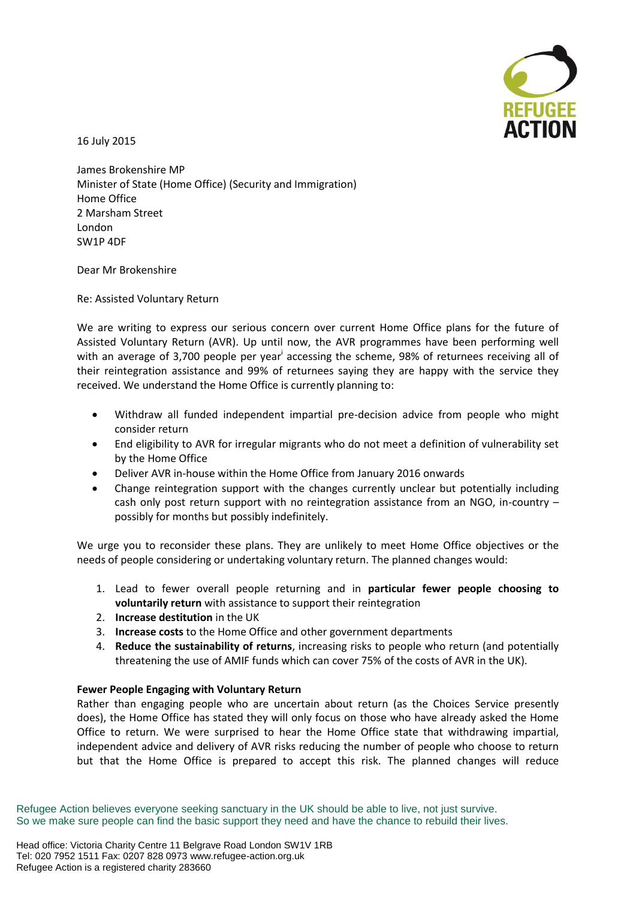

16 July 2015

James Brokenshire MP Minister of State (Home Office) (Security and Immigration) Home Office 2 Marsham Street London SW1P 4DF

Dear Mr Brokenshire

Re: Assisted Voluntary Return

We are writing to express our serious concern over current Home Office plans for the future of Assisted Voluntary Return (AVR). Up until now, the AVR programmes have been performing well with an average of 3,700 people per year<sup>i</sup> accessing the scheme, 98% of returnees receiving all of their reintegration assistance and 99% of returnees saying they are happy with the service they received. We understand the Home Office is currently planning to:

- Withdraw all funded independent impartial pre-decision advice from people who might consider return
- End eligibility to AVR for irregular migrants who do not meet a definition of vulnerability set by the Home Office
- Deliver AVR in-house within the Home Office from January 2016 onwards
- Change reintegration support with the changes currently unclear but potentially including cash only post return support with no reintegration assistance from an NGO, in-country – possibly for months but possibly indefinitely.

We urge you to reconsider these plans. They are unlikely to meet Home Office objectives or the needs of people considering or undertaking voluntary return. The planned changes would:

- 1. Lead to fewer overall people returning and in **particular fewer people choosing to voluntarily return** with assistance to support their reintegration
- 2. **Increase destitution** in the UK
- 3. **Increase costs** to the Home Office and other government departments
- 4. **Reduce the sustainability of returns**, increasing risks to people who return (and potentially threatening the use of AMIF funds which can cover 75% of the costs of AVR in the UK).

## **Fewer People Engaging with Voluntary Return**

Rather than engaging people who are uncertain about return (as the Choices Service presently does), the Home Office has stated they will only focus on those who have already asked the Home Office to return. We were surprised to hear the Home Office state that withdrawing impartial, independent advice and delivery of AVR risks reducing the number of people who choose to return but that the Home Office is prepared to accept this risk. The planned changes will reduce

Refugee Action believes everyone seeking sanctuary in the UK should be able to live, not just survive. So we make sure people can find the basic support they need and have the chance to rebuild their lives.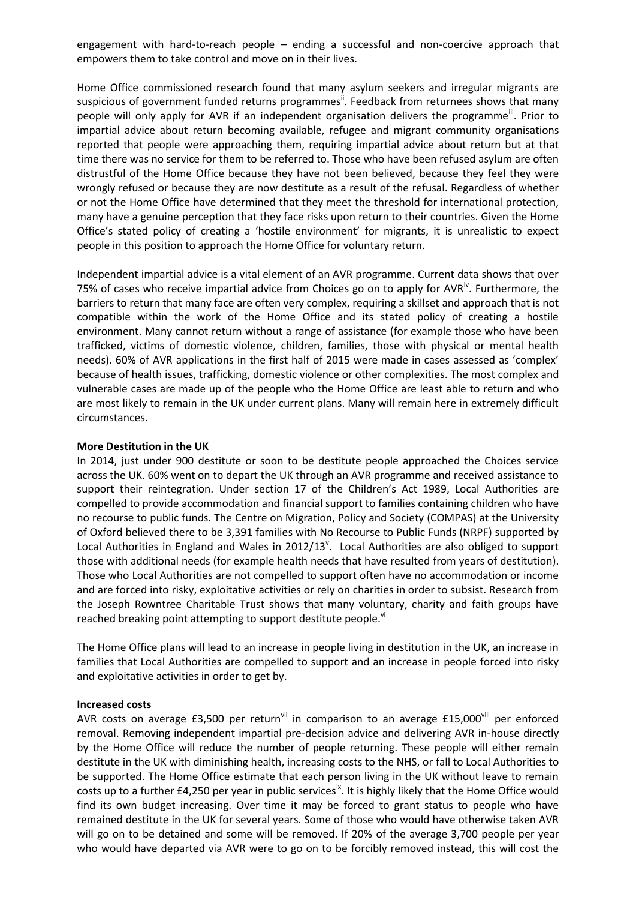engagement with hard-to-reach people – ending a successful and non-coercive approach that empowers them to take control and move on in their lives.

Home Office commissioned research found that many asylum seekers and irregular migrants are suspicious of government funded returns programmes<sup>ii</sup>. Feedback from returnees shows that many people will only apply for AVR if an independent organisation delivers the programme<sup>"</sup>. Prior to impartial advice about return becoming available, refugee and migrant community organisations reported that people were approaching them, requiring impartial advice about return but at that time there was no service for them to be referred to. Those who have been refused asylum are often distrustful of the Home Office because they have not been believed, because they feel they were wrongly refused or because they are now destitute as a result of the refusal. Regardless of whether or not the Home Office have determined that they meet the threshold for international protection, many have a genuine perception that they face risks upon return to their countries. Given the Home Office's stated policy of creating a 'hostile environment' for migrants, it is unrealistic to expect people in this position to approach the Home Office for voluntary return.

Independent impartial advice is a vital element of an AVR programme. Current data shows that over 75% of cases who receive impartial advice from Choices go on to apply for AVR<sup>iv</sup>. Furthermore, the barriers to return that many face are often very complex, requiring a skillset and approach that is not compatible within the work of the Home Office and its stated policy of creating a hostile environment. Many cannot return without a range of assistance (for example those who have been trafficked, victims of domestic violence, children, families, those with physical or mental health needs). 60% of AVR applications in the first half of 2015 were made in cases assessed as 'complex' because of health issues, trafficking, domestic violence or other complexities. The most complex and vulnerable cases are made up of the people who the Home Office are least able to return and who are most likely to remain in the UK under current plans. Many will remain here in extremely difficult circumstances.

## **More Destitution in the UK**

In 2014, just under 900 destitute or soon to be destitute people approached the Choices service across the UK. 60% went on to depart the UK through an AVR programme and received assistance to support their reintegration. Under section 17 of the Children's Act 1989, Local Authorities are compelled to provide accommodation and financial support to families containing children who have no recourse to public funds. The Centre on Migration, Policy and Society (COMPAS) at the University of Oxford believed there to be 3,391 families with No Recourse to Public Funds (NRPF) supported by Local Authorities in England and Wales in 2012/13<sup>v</sup>. Local Authorities are also obliged to support those with additional needs (for example health needs that have resulted from years of destitution). Those who Local Authorities are not compelled to support often have no accommodation or income and are forced into risky, exploitative activities or rely on charities in order to subsist. Research from the Joseph Rowntree Charitable Trust shows that many voluntary, charity and faith groups have reached breaking point attempting to support destitute people.<sup>vi</sup>

The Home Office plans will lead to an increase in people living in destitution in the UK, an increase in families that Local Authorities are compelled to support and an increase in people forced into risky and exploitative activities in order to get by.

## **Increased costs**

AVR costs on average  $£3,500$  per return<sup>vii</sup> in comparison to an average  $£15,000$ <sup>viii</sup> per enforced removal. Removing independent impartial pre-decision advice and delivering AVR in-house directly by the Home Office will reduce the number of people returning. These people will either remain destitute in the UK with diminishing health, increasing costs to the NHS, or fall to Local Authorities to be supported. The Home Office estimate that each person living in the UK without leave to remain costs up to a further £4,250 per year in public services<sup>ix</sup>. It is highly likely that the Home Office would find its own budget increasing. Over time it may be forced to grant status to people who have remained destitute in the UK for several years. Some of those who would have otherwise taken AVR will go on to be detained and some will be removed. If 20% of the average 3,700 people per year who would have departed via AVR were to go on to be forcibly removed instead, this will cost the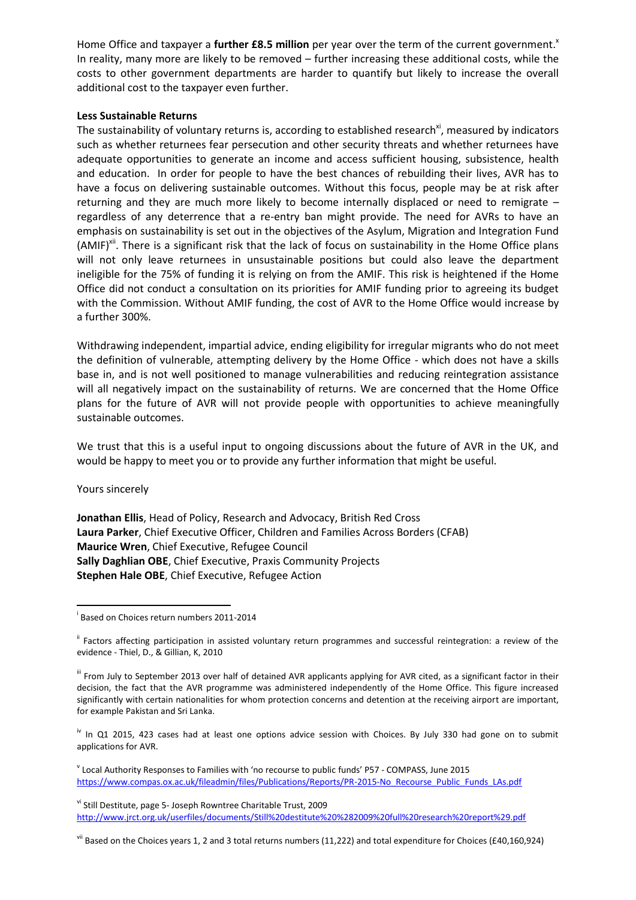Home Office and taxpayer a **further £8.5 million** per year over the term of the current government.<sup>\*</sup> In reality, many more are likely to be removed – further increasing these additional costs, while the costs to other government departments are harder to quantify but likely to increase the overall additional cost to the taxpayer even further.

## **Less Sustainable Returns**

The sustainability of voluntary returns is, according to established research<sup>xi</sup>, measured by indicators such as whether returnees fear persecution and other security threats and whether returnees have adequate opportunities to generate an income and access sufficient housing, subsistence, health and education. In order for people to have the best chances of rebuilding their lives, AVR has to have a focus on delivering sustainable outcomes. Without this focus, people may be at risk after returning and they are much more likely to become internally displaced or need to remigrate – regardless of any deterrence that a re-entry ban might provide. The need for AVRs to have an emphasis on sustainability is set out in the objectives of the Asylum, Migration and Integration Fund (AMIF)<sup>xii</sup>. There is a significant risk that the lack of focus on sustainability in the Home Office plans will not only leave returnees in unsustainable positions but could also leave the department ineligible for the 75% of funding it is relying on from the AMIF. This risk is heightened if the Home Office did not conduct a consultation on its priorities for AMIF funding prior to agreeing its budget with the Commission. Without AMIF funding, the cost of AVR to the Home Office would increase by a further 300%.

Withdrawing independent, impartial advice, ending eligibility for irregular migrants who do not meet the definition of vulnerable, attempting delivery by the Home Office - which does not have a skills base in, and is not well positioned to manage vulnerabilities and reducing reintegration assistance will all negatively impact on the sustainability of returns. We are concerned that the Home Office plans for the future of AVR will not provide people with opportunities to achieve meaningfully sustainable outcomes.

We trust that this is a useful input to ongoing discussions about the future of AVR in the UK, and would be happy to meet you or to provide any further information that might be useful.

Yours sincerely

**.** 

**Jonathan Ellis**, Head of Policy, Research and Advocacy, British Red Cross **Laura Parker**, Chief Executive Officer, Children and Families Across Borders (CFAB) **Maurice Wren**, Chief Executive, Refugee Council **Sally Daghlian OBE**, Chief Executive, Praxis Community Projects **Stephen Hale OBE**, Chief Executive, Refugee Action

<sup>iv</sup> In Q1 2015, 423 cases had at least one options advice session with Choices. By July 330 had gone on to submit applications for AVR.

v Local Authority Responses to Families with 'no recourse to public funds' P57 - COMPASS, June 2015 [https://www.compas.ox.ac.uk/fileadmin/files/Publications/Reports/PR-2015-No\\_Recourse\\_Public\\_Funds\\_LAs.pdf](https://www.compas.ox.ac.uk/fileadmin/files/Publications/Reports/PR-2015-No_Recourse_Public_Funds_LAs.pdf)

vi Still Destitute, page 5- Joseph Rowntree Charitable Trust, 2009 <http://www.jrct.org.uk/userfiles/documents/Still%20destitute%20%282009%20full%20research%20report%29.pdf>

 $v^{ij}$  Based on the Choices years 1, 2 and 3 total returns numbers (11,222) and total expenditure for Choices (£40,160,924)

i Based on Choices return numbers 2011-2014

ii Factors affecting participation in assisted voluntary return programmes and successful reintegration: a review of the evidence - Thiel, D., & Gillian, K, 2010

iii From July to September 2013 over half of detained AVR applicants applying for AVR cited, as a significant factor in their decision, the fact that the AVR programme was administered independently of the Home Office. This figure increased significantly with certain nationalities for whom protection concerns and detention at the receiving airport are important, for example Pakistan and Sri Lanka.